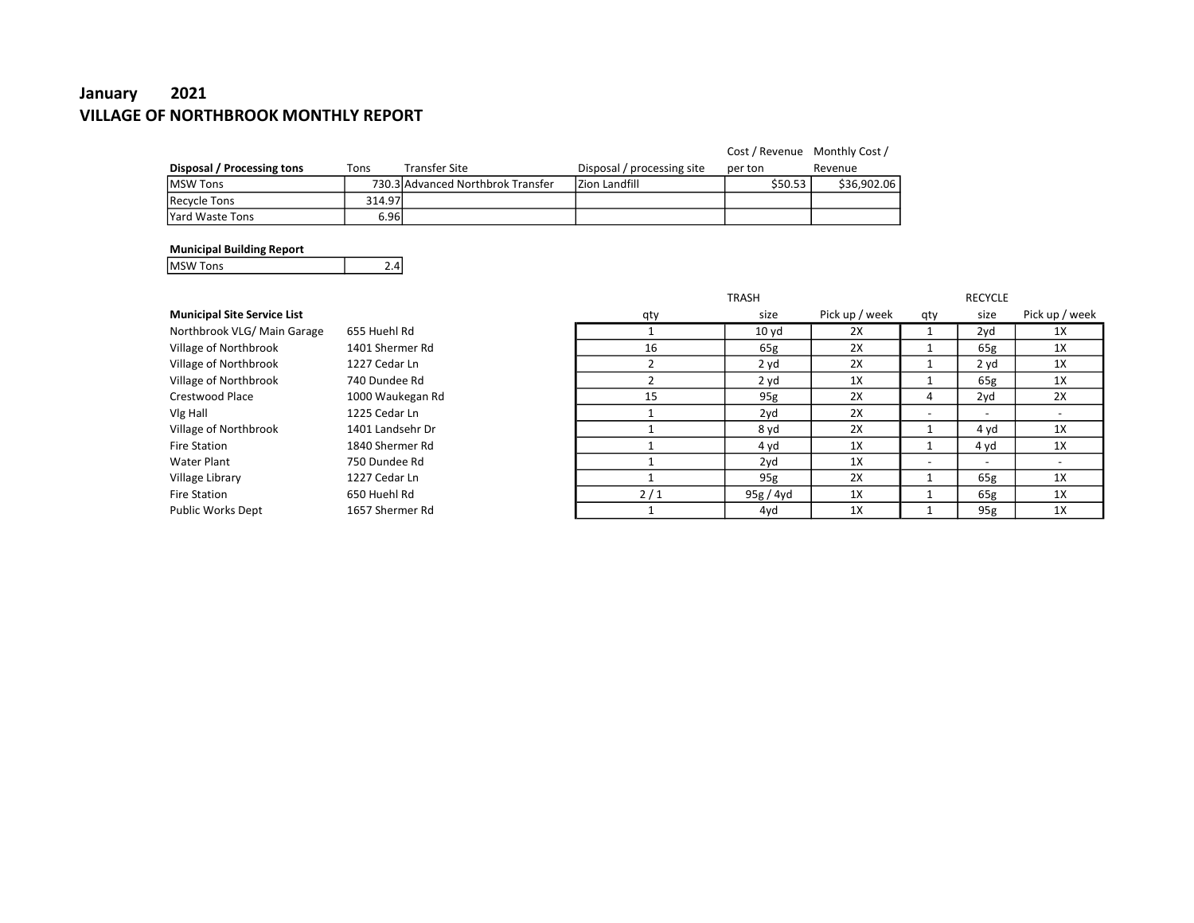# January 2021 VILLAGE OF NORTHBROOK MONTHLY REPORT

|                            |        |                                   |                            | Cost / Revenue Monthly Cost / |             |
|----------------------------|--------|-----------------------------------|----------------------------|-------------------------------|-------------|
| Disposal / Processing tons | Tons   | <b>Transfer Site</b>              | Disposal / processing site | per ton                       | Revenue     |
| IMSW Tons                  |        | 730.3 Advanced Northbrok Transfer | IZion Landfill             | \$50.53                       | \$36.902.06 |
| Recycle Tons               | 314.97 |                                   |                            |                               |             |
| lYard Waste Tons           | 6.96l  |                                   |                            |                               |             |

#### Municipal Building Report

MSW Tons 2.4

|                                    |                  |     | <b>TRASH</b>     |                |     | <b>RECYCLE</b>           |                          |
|------------------------------------|------------------|-----|------------------|----------------|-----|--------------------------|--------------------------|
| <b>Municipal Site Service List</b> |                  | qty | size             | Pick up / week | qty | size                     | Pick up / week           |
| Northbrook VLG/ Main Garage        | 655 Huehl Rd     |     | 10 <sub>yd</sub> | 2X             |     | 2yd                      | 1X                       |
| Village of Northbrook              | 1401 Shermer Rd  | 16  | 65g              | 2X             |     | 65g                      | 1X                       |
| Village of Northbrook              | 1227 Cedar Ln    |     | 2 yd             | 2X             |     | 2 yd                     | 1X                       |
| Village of Northbrook              | 740 Dundee Rd    |     | 2 yd             | 1X             |     | 65g                      | 1X                       |
| Crestwood Place                    | 1000 Waukegan Rd | 15  | 95g              | 2X             | 4   | 2yd                      | 2X                       |
| Vlg Hall                           | 1225 Cedar Ln    |     | 2yd              | 2X             |     | $\overline{\phantom{a}}$ | $\overline{\phantom{a}}$ |
| Village of Northbrook              | 1401 Landsehr Dr |     | 8 yd             | 2X             |     | 4 yd                     | 1X                       |
| <b>Fire Station</b>                | 1840 Shermer Rd  |     | 4 yd             | 1X             |     | 4 yd                     | 1X                       |
| Water Plant                        | 750 Dundee Rd    |     | 2yd              | 1X             |     | $\overline{\phantom{a}}$ | $\overline{\phantom{0}}$ |
| Village Library                    | 1227 Cedar Ln    |     | 95g              | 2X             |     | 65g                      | 1X                       |
| <b>Fire Station</b>                | 650 Huehl Rd     | 2/1 | 95g/4yd          | 1X             |     | 65g                      | 1X                       |
| Public Works Dept                  | 1657 Shermer Rd  |     | 4yd              | 1X             |     | 95g                      | 1X                       |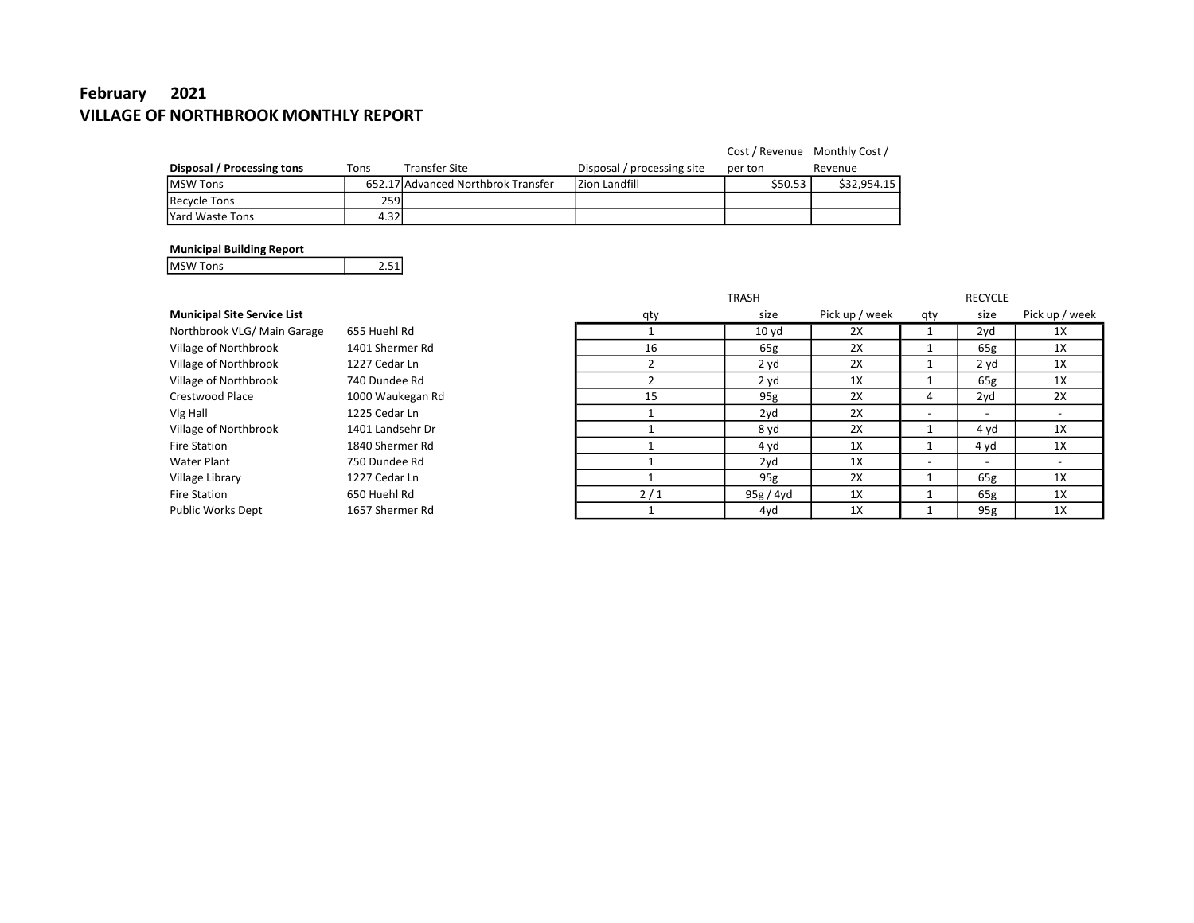# February 2021 VILLAGE OF NORTHBROOK MONTHLY REPORT

|                            |      |                                    |                            | Cost / Revenue Monthly Cost / |             |
|----------------------------|------|------------------------------------|----------------------------|-------------------------------|-------------|
| Disposal / Processing tons | Tons | <b>Transfer Site</b>               | Disposal / processing site | per ton                       | Revenue     |
| <b>IMSW Tons</b>           |      | 652.17 Advanced Northbrok Transfer | Izion Landfill             | \$50.53                       | \$32.954.15 |
| Recycle Tons               | 259  |                                    |                            |                               |             |
| lYard Waste Tons           | 4.32 |                                    |                            |                               |             |

#### Municipal Building Report

MSW Tons 2.51

|                                    |                  |     | <b>TRASH</b>     |                |     | <b>RECYCLE</b>           |                          |
|------------------------------------|------------------|-----|------------------|----------------|-----|--------------------------|--------------------------|
| <b>Municipal Site Service List</b> |                  | qty | size             | Pick up / week | qty | size                     | Pick up / week           |
| Northbrook VLG/Main Garage         | 655 Huehl Rd     |     | 10 <sub>yd</sub> | 2X             |     | 2yd                      | 1X                       |
| Village of Northbrook              | 1401 Shermer Rd  | 16  | 65g              | 2X             |     | 65g                      | 1X                       |
| Village of Northbrook              | 1227 Cedar Ln    |     | 2 yd             | 2X             |     | 2 yd                     | 1X                       |
| Village of Northbrook              | 740 Dundee Rd    |     | 2 yd             | 1X             |     | 65g                      | 1X                       |
| Crestwood Place                    | 1000 Waukegan Rd | 15  | 95g              | 2X             | 4   | 2yd                      | 2X                       |
| Vlg Hall                           | 1225 Cedar Ln    |     | 2yd              | 2X             |     | $\overline{\phantom{a}}$ | $\overline{\phantom{a}}$ |
| Village of Northbrook              | 1401 Landsehr Dr |     | 8 yd             | 2X             |     | 4 yd                     | 1X                       |
| <b>Fire Station</b>                | 1840 Shermer Rd  |     | 4 yd             | 1X             |     | 4 yd                     | 1X                       |
| Water Plant                        | 750 Dundee Rd    |     | 2yd              | 1X             |     | $\overline{\phantom{a}}$ | -                        |
| Village Library                    | 1227 Cedar Ln    |     | 95g              | 2X             |     | 65g                      | 1X                       |
| <b>Fire Station</b>                | 650 Huehl Rd     | 2/1 | 95g / 4yd        | 1X             |     | 65g                      | 1X                       |
| Public Works Dept                  | 1657 Shermer Rd  |     | 4yd              | 1X             |     | 95g                      | 1X                       |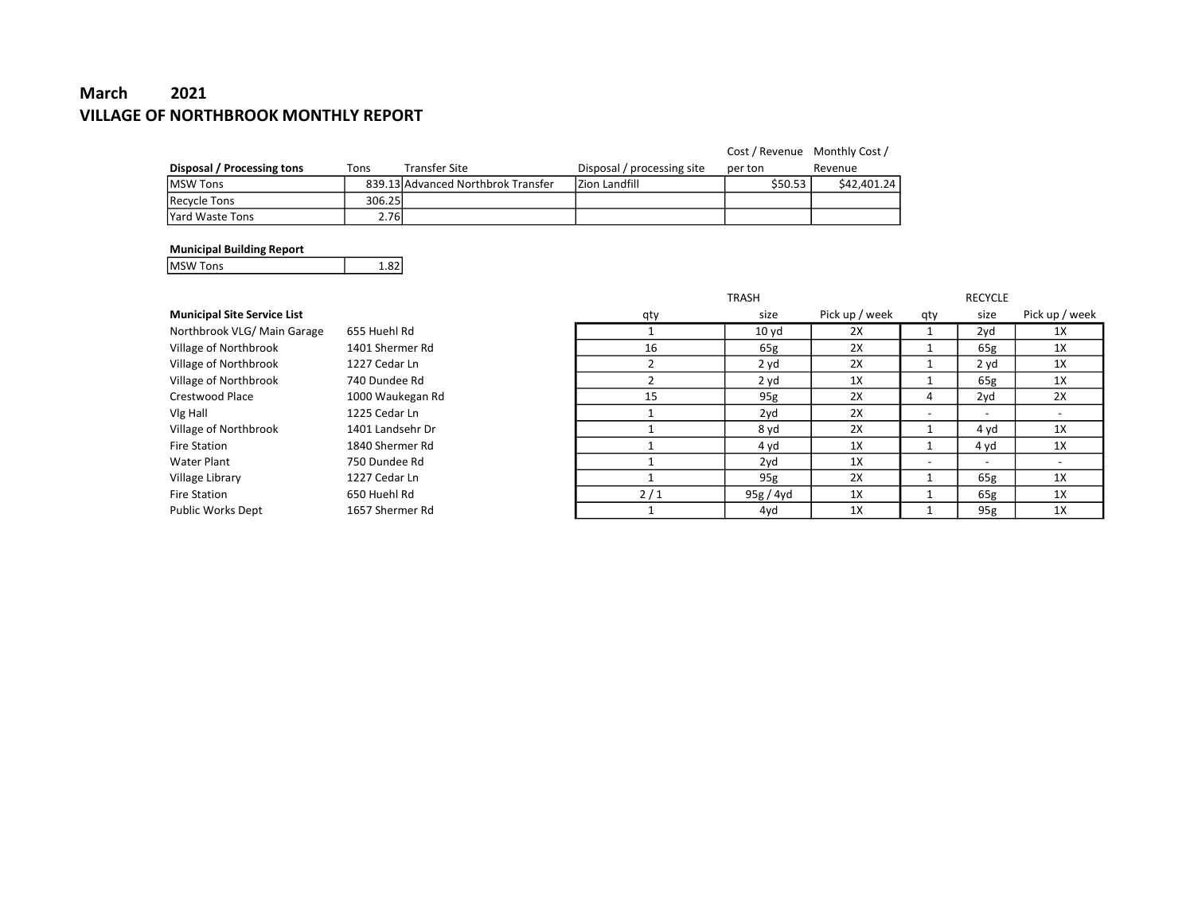# March 2021 VILLAGE OF NORTHBROOK MONTHLY REPORT

|                            |        |                                    |                            | Cost / Revenue Monthly Cost / |             |
|----------------------------|--------|------------------------------------|----------------------------|-------------------------------|-------------|
| Disposal / Processing tons | Tons   | <b>Transfer Site</b>               | Disposal / processing site | per ton                       | Revenue     |
| <b>IMSW Tons</b>           |        | 839.13 Advanced Northbrok Transfer | Izion Landfill             | \$50.53                       | \$42,401.24 |
| Recycle Tons               | 306.25 |                                    |                            |                               |             |
| lYard Waste Tons           | 2.76l  |                                    |                            |                               |             |

#### Municipal Building Report

MSW Tons 1.82

|                                    |                  |     | <b>TRASH</b>     |                |     | <b>RECYCLE</b>           |                          |
|------------------------------------|------------------|-----|------------------|----------------|-----|--------------------------|--------------------------|
| <b>Municipal Site Service List</b> |                  | qty | size             | Pick up / week | qty | size                     | Pick up / week           |
| Northbrook VLG/Main Garage         | 655 Huehl Rd     |     | 10 <sub>yd</sub> | 2X             |     | 2yd                      | 1X                       |
| Village of Northbrook              | 1401 Shermer Rd  | 16  | 65g              | 2X             |     | 65g                      | 1X                       |
| Village of Northbrook              | 1227 Cedar Ln    |     | 2 yd             | 2X             |     | 2 yd                     | 1X                       |
| Village of Northbrook              | 740 Dundee Rd    |     | 2 yd             | 1X             |     | 65g                      | 1X                       |
| Crestwood Place                    | 1000 Waukegan Rd | 15  | 95g              | 2X             | 4   | 2yd                      | 2X                       |
| Vlg Hall                           | 1225 Cedar Ln    |     | 2yd              | 2X             |     | $\overline{\phantom{a}}$ |                          |
| Village of Northbrook              | 1401 Landsehr Dr |     | 8 yd             | 2X             |     | 4 yd                     | 1X                       |
| <b>Fire Station</b>                | 1840 Shermer Rd  |     | 4 yd             | 1X             |     | 4 yd                     | 1X                       |
| Water Plant                        | 750 Dundee Rd    |     | 2yd              | 1X             |     | $\overline{\phantom{a}}$ | $\overline{\phantom{0}}$ |
| Village Library                    | 1227 Cedar Ln    |     | 95g              | 2X             |     | 65g                      | 1X                       |
| <b>Fire Station</b>                | 650 Huehl Rd     | 2/1 | 95g / 4yd        | 1X             |     | 65g                      | 1X                       |
| <b>Public Works Dept</b>           | 1657 Shermer Rd  |     | 4yd              | 1X             |     | 95g                      | 1X                       |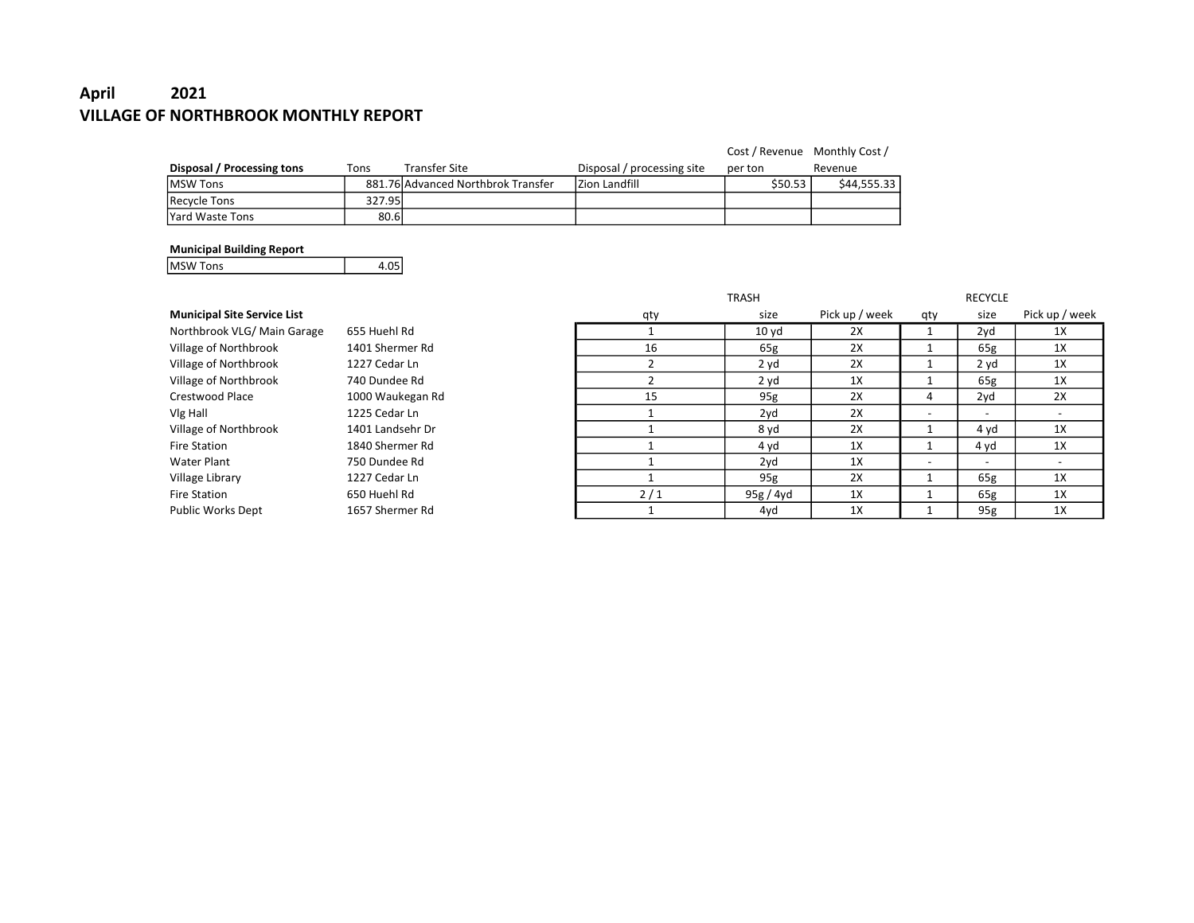# April 2021 VILLAGE OF NORTHBROOK MONTHLY REPORT

|                            |        |                                    |                            | Cost / Revenue Monthly Cost / |             |
|----------------------------|--------|------------------------------------|----------------------------|-------------------------------|-------------|
| Disposal / Processing tons | Tons   | <b>Transfer Site</b>               | Disposal / processing site | per ton                       | Revenue     |
| <b>IMSW Tons</b>           |        | 881.76 Advanced Northbrok Transfer | Izion Landfill             | \$50.53                       | \$44.555.33 |
| Recycle Tons               | 327.95 |                                    |                            |                               |             |
| lYard Waste Tons           | 80.6   |                                    |                            |                               |             |

#### Municipal Building Report

MSW Tons 4.05

|                                    |                  |     | <b>TRASH</b>     |                |                          | <b>RECYCLE</b>           |                |
|------------------------------------|------------------|-----|------------------|----------------|--------------------------|--------------------------|----------------|
| <b>Municipal Site Service List</b> |                  | qty | size             | Pick up / week | qty                      | size                     | Pick up / week |
| Northbrook VLG/ Main Garage        | 655 Huehl Rd     |     | 10 <sub>yd</sub> | 2X             |                          | 2yd                      | 1X             |
| Village of Northbrook              | 1401 Shermer Rd  | 16  | 65g              | 2X             |                          | 65g                      | 1X             |
| Village of Northbrook              | 1227 Cedar Ln    |     | 2 yd             | 2X             |                          | 2 yd                     | 1X             |
| Village of Northbrook              | 740 Dundee Rd    |     | 2 yd             | 1X             |                          | 65g                      | 1X             |
| Crestwood Place                    | 1000 Waukegan Rd | 15  | 95g              | 2X             | 4                        | $2V$ d                   | 2X             |
| Vlg Hall                           | 1225 Cedar Ln    |     | 2yd              | 2X             | $\overline{\phantom{a}}$ |                          |                |
| Village of Northbrook              | 1401 Landsehr Dr |     | 8 yd             | 2X             |                          | 4 yd                     | 1X             |
| Fire Station                       | 1840 Shermer Rd  |     | 4 yd             | 1X             |                          | 4 yd                     | 1X             |
| Water Plant                        | 750 Dundee Rd    |     | 2yd              | 1X             | $\overline{\phantom{0}}$ | $\overline{\phantom{0}}$ |                |
| Village Library                    | 1227 Cedar Ln    |     | 95g              | 2X             |                          | 65g                      | 1X             |
| <b>Fire Station</b>                | 650 Huehl Rd     | 2/1 | 95g / 4yd        | 1X             |                          | 65g                      | 1X             |
| Public Works Dept                  | 1657 Shermer Rd  |     | 4yd              | 1X             |                          | 95g                      | 1X             |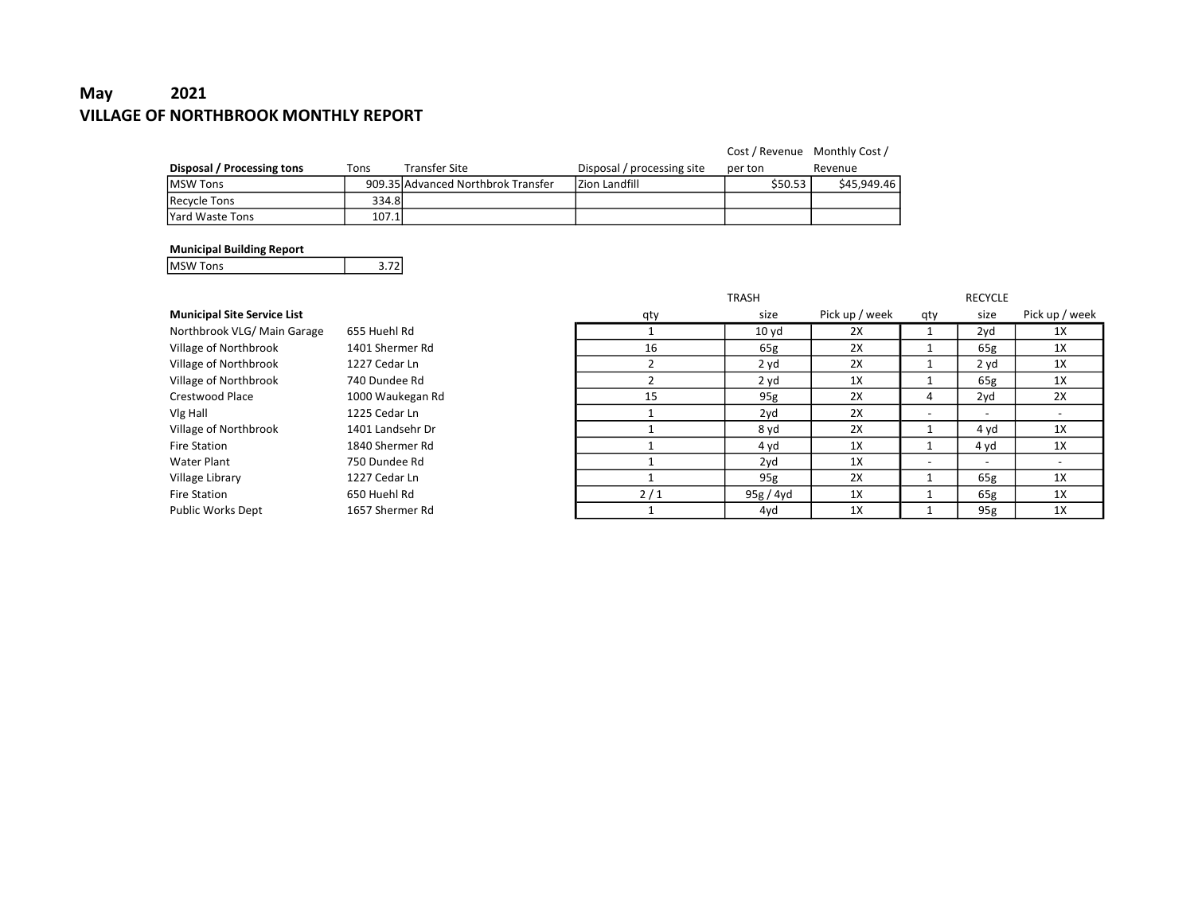# May 2021 VILLAGE OF NORTHBROOK MONTHLY REPORT

|                            |        |                                    |                            | Cost / Revenue Monthly Cost / |             |
|----------------------------|--------|------------------------------------|----------------------------|-------------------------------|-------------|
| Disposal / Processing tons | Tons   | Transfer Site                      | Disposal / processing site | per ton                       | Revenue     |
| <b>IMSW Tons</b>           |        | 909.35 Advanced Northbrok Transfer | Izion Landfill             | \$50.53                       | \$45,949.46 |
| Recycle Tons               | 334.8l |                                    |                            |                               |             |
| lYard Waste Tons           | 107.1l |                                    |                            |                               |             |

#### Municipal Building Report

MSW Tons 3.72

|                                    |                  |     | <b>TRASH</b>     |                |     | <b>RECYCLE</b>           |                          |
|------------------------------------|------------------|-----|------------------|----------------|-----|--------------------------|--------------------------|
| <b>Municipal Site Service List</b> |                  | qty | size             | Pick up / week | qty | size                     | Pick up / week           |
| Northbrook VLG/ Main Garage        | 655 Huehl Rd     |     | 10 <sub>yd</sub> | 2X             |     | 2yd                      | 1X                       |
| Village of Northbrook              | 1401 Shermer Rd  | 16  | 65g              | 2X             |     | 65g                      | 1X                       |
| Village of Northbrook              | 1227 Cedar Ln    |     | 2 yd             | 2X             |     | 2 yd                     | 1X                       |
| Village of Northbrook              | 740 Dundee Rd    |     | 2 yd             | 1X             |     | 65g                      | 1X                       |
| Crestwood Place                    | 1000 Waukegan Rd | 15  | 95g              | 2X             | 4   | 2yd                      | 2X                       |
| Vlg Hall                           | 1225 Cedar Ln    |     | 2yd              | 2X             |     | $\overline{\phantom{a}}$ | $\overline{\phantom{a}}$ |
| Village of Northbrook              | 1401 Landsehr Dr |     | 8 yd             | 2X             |     | 4 yd                     | 1X                       |
| Fire Station                       | 1840 Shermer Rd  |     | 4 yd             | 1X             |     | 4 yd                     | 1X                       |
| Water Plant                        | 750 Dundee Rd    |     | 2yd              | 1X             |     | $\overline{\phantom{a}}$ | $\overline{\phantom{a}}$ |
| Village Library                    | 1227 Cedar Ln    |     | 95g              | 2X             |     | 65g                      | 1X                       |
| <b>Fire Station</b>                | 650 Huehl Rd     | 2/1 | 95g / 4yd        | 1X             |     | 65g                      | 1X                       |
| Public Works Dept                  | 1657 Shermer Rd  |     | 4yd              | 1X             |     | 95g                      | 1X                       |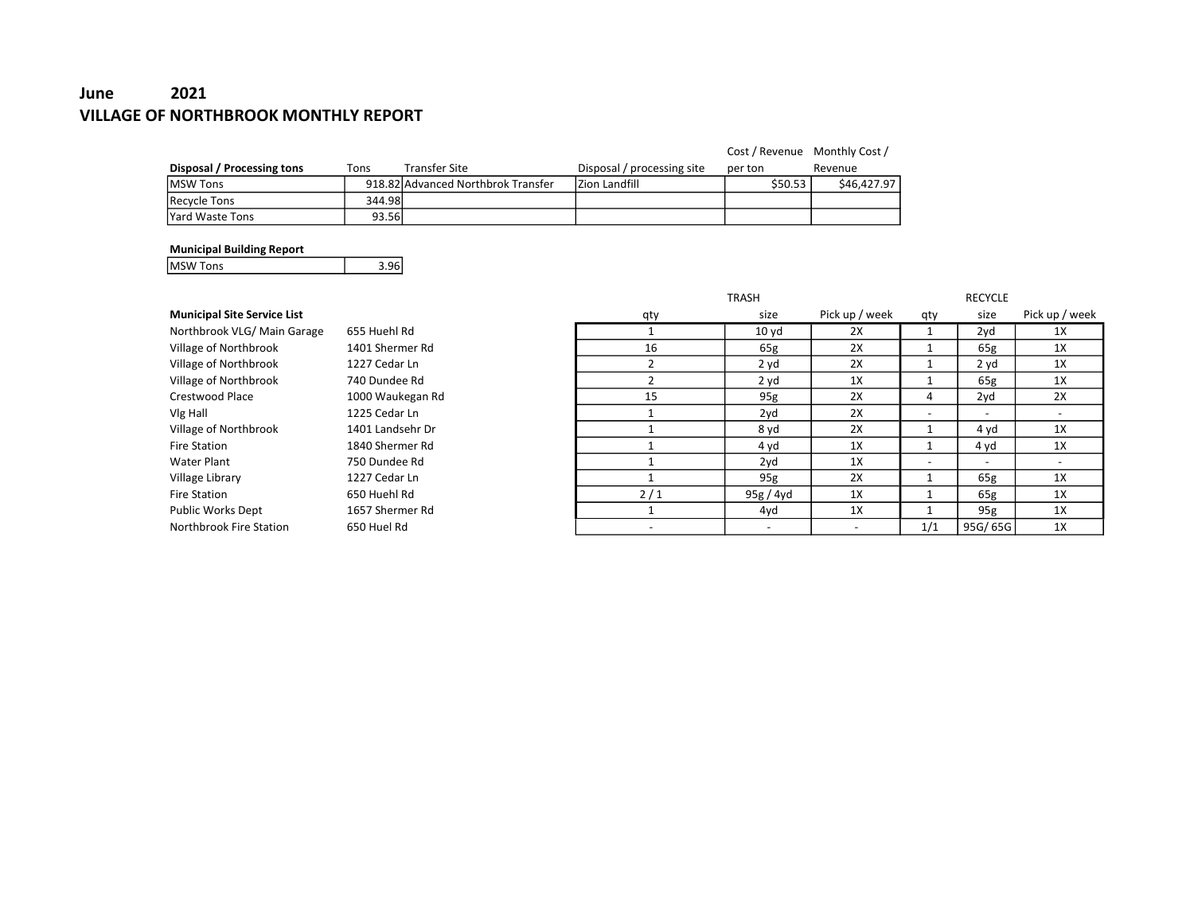# June 2021 VILLAGE OF NORTHBROOK MONTHLY REPORT

|                            |        |                                    |                            | Cost / Revenue Monthly Cost / |             |
|----------------------------|--------|------------------------------------|----------------------------|-------------------------------|-------------|
| Disposal / Processing tons | Tons   | <b>Transfer Site</b>               | Disposal / processing site | per ton                       | Revenue     |
| <b>IMSW Tons</b>           |        | 918.82 Advanced Northbrok Transfer | Izion Landfill             | \$50.53                       | \$46.427.97 |
| Recycle Tons               | 344.98 |                                    |                            |                               |             |
| <b>IYard Waste Tons</b>    | 93.56l |                                    |                            |                               |             |

#### Municipal Building Report

MSW Tons 3.96

|                                    |                  |                          | <b>TRASH</b>             |                          |                          | <b>RECYCLE</b>           |                          |
|------------------------------------|------------------|--------------------------|--------------------------|--------------------------|--------------------------|--------------------------|--------------------------|
| <b>Municipal Site Service List</b> |                  | qty                      | size                     | Pick up / week           | qty                      | size                     | Pick up / week           |
| Northbrook VLG/Main Garage         | 655 Huehl Rd     |                          | 10 <sub>yd</sub>         | 2X                       |                          | 2yd                      | 1X                       |
| Village of Northbrook              | 1401 Shermer Rd  | 16                       | 65g                      | 2X                       |                          | 65g                      | 1X                       |
| Village of Northbrook              | 1227 Cedar Ln    |                          | 2 yd                     | 2X                       |                          | 2 yd                     | 1X                       |
| Village of Northbrook              | 740 Dundee Rd    |                          | 2 yd                     | 1X                       |                          | 65g                      | 1X                       |
| Crestwood Place                    | 1000 Waukegan Rd | 15                       | 95g                      | 2X                       | 4                        | 2yd                      | 2X                       |
| Vlg Hall                           | 1225 Cedar Ln    |                          | 2yd                      | 2X                       |                          | $\overline{\phantom{a}}$ | $\overline{\phantom{a}}$ |
| Village of Northbrook              | 1401 Landsehr Dr |                          | 8 yd                     | 2X                       |                          | 4 yd                     | 1X                       |
| <b>Fire Station</b>                | 1840 Shermer Rd  |                          | 4 yd                     | 1X                       |                          | 4 yd                     | 1X                       |
| Water Plant                        | 750 Dundee Rd    |                          | 2yd                      | 1X                       | $\overline{\phantom{0}}$ | $\overline{\phantom{a}}$ | $\overline{\phantom{a}}$ |
| Village Library                    | 1227 Cedar Ln    |                          | 95g                      | 2X                       |                          | 65g                      | 1X                       |
| <b>Fire Station</b>                | 650 Huehl Rd     | 2/1                      | 95g / 4yd                | 1X                       |                          | 65g                      | 1X                       |
| <b>Public Works Dept</b>           | 1657 Shermer Rd  |                          | 4yd                      | 1X                       |                          | 95g                      | 1X                       |
| Northbrook Fire Station            | 650 Huel Rd      | $\overline{\phantom{0}}$ | $\overline{\phantom{a}}$ | $\overline{\phantom{a}}$ | 1/1                      | 95G/65G                  | 1X                       |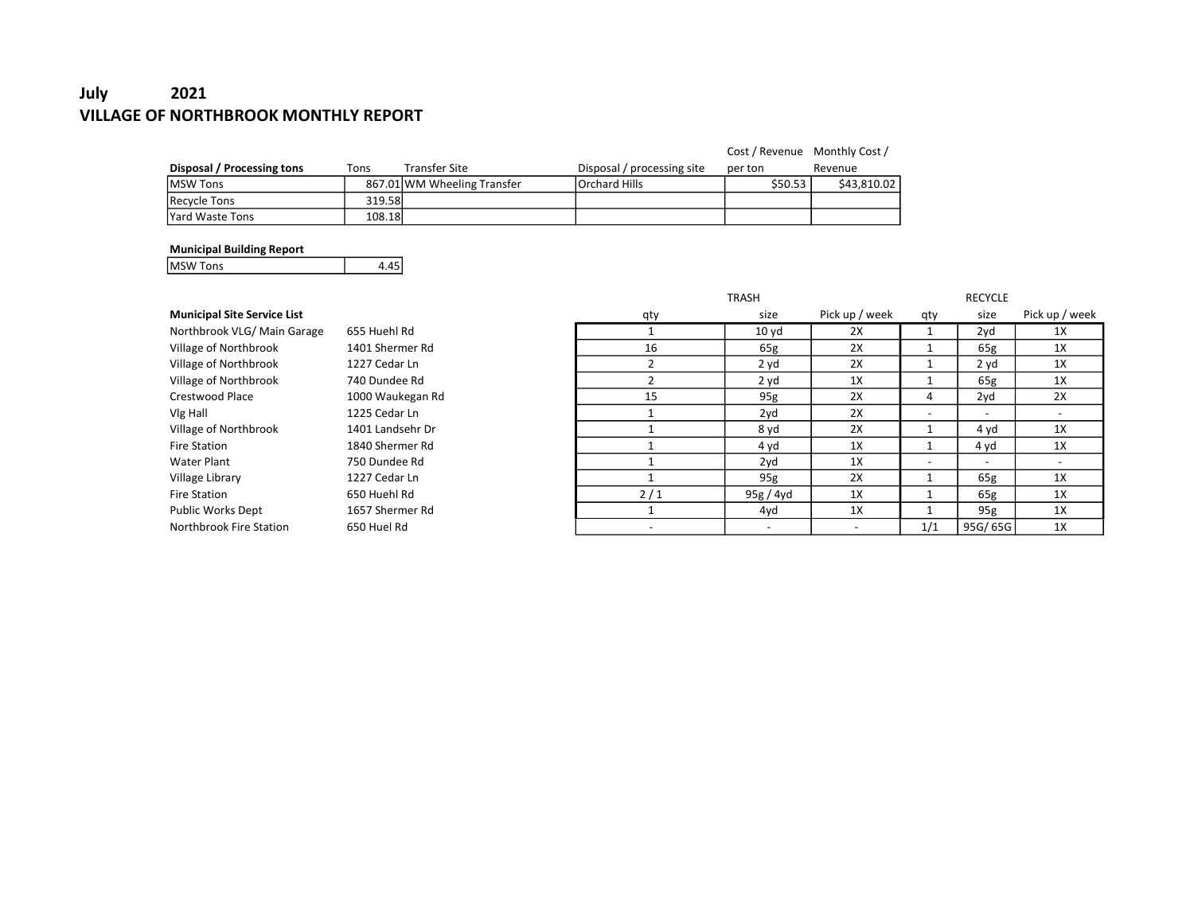# July 2021 VILLAGE OF NORTHBROOK MONTHLY REPORT

|                            |        |                             |                            | Cost / Revenue Monthly Cost / |             |
|----------------------------|--------|-----------------------------|----------------------------|-------------------------------|-------------|
| Disposal / Processing tons | Tons   | <b>Transfer Site</b>        | Disposal / processing site | per ton                       | Revenue     |
| <b>IMSW Tons</b>           |        | 867.01 WM Wheeling Transfer | <b>Orchard Hills</b>       | \$50.53                       | \$43.810.02 |
| Recycle Tons               | 319.58 |                             |                            |                               |             |
| lYard Waste Tons           | 108.18 |                             |                            |                               |             |

#### Municipal Building Report

MSW Tons 4.45

|                                    |                  |                          | <b>TRASH</b>             |                          |                          | <b>RECYCLE</b>           |                          |
|------------------------------------|------------------|--------------------------|--------------------------|--------------------------|--------------------------|--------------------------|--------------------------|
| <b>Municipal Site Service List</b> |                  | qty                      | size                     | Pick up / week           | qty                      | size                     | Pick up / week           |
| Northbrook VLG/Main Garage         | 655 Huehl Rd     |                          | 10 <sub>yd</sub>         | 2X                       |                          | 2yd                      | 1X                       |
| Village of Northbrook              | 1401 Shermer Rd  | 16                       | 65g                      | 2X                       |                          | 65g                      | 1X                       |
| Village of Northbrook              | 1227 Cedar Ln    |                          | 2 yd                     | 2X                       |                          | 2 yd                     | 1X                       |
| Village of Northbrook              | 740 Dundee Rd    |                          | 2 yd                     | 1X                       |                          | 65g                      | 1X                       |
| Crestwood Place                    | 1000 Waukegan Rd | 15                       | 95g                      | 2X                       | 4                        | 2yd                      | 2X                       |
| Vlg Hall                           | 1225 Cedar Ln    |                          | 2yd                      | 2X                       |                          | $\overline{\phantom{a}}$ | $\overline{\phantom{a}}$ |
| Village of Northbrook              | 1401 Landsehr Dr |                          | 8 yd                     | 2X                       |                          | 4 yd                     | 1X                       |
| <b>Fire Station</b>                | 1840 Shermer Rd  |                          | 4 yd                     | 1X                       |                          | 4 yd                     | 1X                       |
| Water Plant                        | 750 Dundee Rd    |                          | 2yd                      | 1X                       | $\overline{\phantom{0}}$ | $\overline{\phantom{a}}$ | $\overline{\phantom{a}}$ |
| Village Library                    | 1227 Cedar Ln    |                          | 95g                      | 2X                       |                          | 65g                      | 1X                       |
| <b>Fire Station</b>                | 650 Huehl Rd     | 2/1                      | 95g / 4yd                | 1X                       |                          | 65g                      | 1X                       |
| <b>Public Works Dept</b>           | 1657 Shermer Rd  |                          | 4yd                      | 1X                       |                          | 95g                      | 1X                       |
| Northbrook Fire Station            | 650 Huel Rd      | $\overline{\phantom{0}}$ | $\overline{\phantom{a}}$ | $\overline{\phantom{a}}$ | 1/1                      | 95G/65G                  | 1X                       |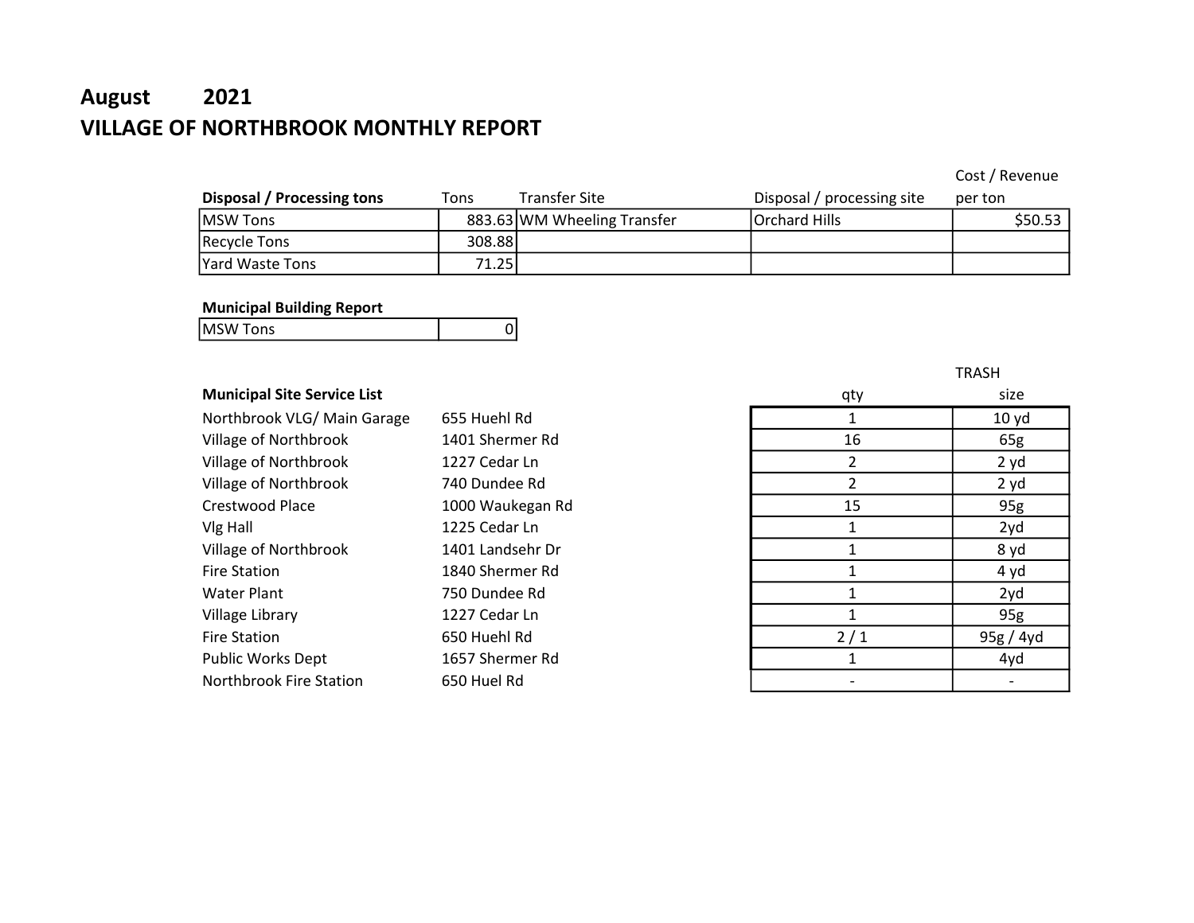# August 2021 VILLAGE OF NORTHBROOK MONTHLY REPORT

Cost / Revenue

| Disposal / Processing tons | Tons    | <b>Transfer Site</b>        | Disposal / processing site | per ton  |
|----------------------------|---------|-----------------------------|----------------------------|----------|
| <b>MSW Tons</b>            |         | 883.63 WM Wheeling Transfer | Orchard Hills              | S50.53 l |
| <b>Recycle Tons</b>        | 308.881 |                             |                            |          |
| <b>Yard Waste Tons</b>     | 71.25   |                             |                            |          |

### Municipal Building Report

|                              | -- |  |
|------------------------------|----|--|
| <b>MSW</b><br>Tone<br>בווט ו |    |  |
|                              |    |  |

## **Municipal Site Service List**

| Northbrook VLG/ Main Garage | 655 Huehl Rd     |     | 10 yd     |
|-----------------------------|------------------|-----|-----------|
| Village of Northbrook       | 1401 Shermer Rd  | 16  | 65g       |
| Village of Northbrook       | 1227 Cedar Ln    |     | 2 yd      |
| Village of Northbrook       | 740 Dundee Rd    |     | 2 yd      |
| Crestwood Place             | 1000 Waukegan Rd | 15  | 95g       |
| Vlg Hall                    | 1225 Cedar Ln    |     | 2yd       |
| Village of Northbrook       | 1401 Landsehr Dr |     | 8 yd      |
| <b>Fire Station</b>         | 1840 Shermer Rd  |     | 4 yd      |
| <b>Water Plant</b>          | 750 Dundee Rd    |     | 2yd       |
| Village Library             | 1227 Cedar Ln    |     | 95g       |
| <b>Fire Station</b>         | 650 Huehl Rd     | 2/1 | 95g / 4yd |
| <b>Public Works Dept</b>    | 1657 Shermer Rd  |     | 4yd       |
| Northbrook Fire Station     | 650 Huel Rd      |     |           |

| qty            | size      |
|----------------|-----------|
| $\mathbf{1}$   | 10 yd     |
| 16             | 65g       |
| $\overline{2}$ | 2 yd      |
| $\overline{2}$ | 2 yd      |
| 15             | 95g       |
| $\mathbf 1$    | 2yd       |
| $\mathbf{1}$   | 8 yd      |
| $\mathbf{1}$   | 4 yd      |
| $\mathbf{1}$   | 2yd       |
| 1              | 95g       |
| 2/1            | 95g / 4yd |
| 1              | 4yd       |
|                |           |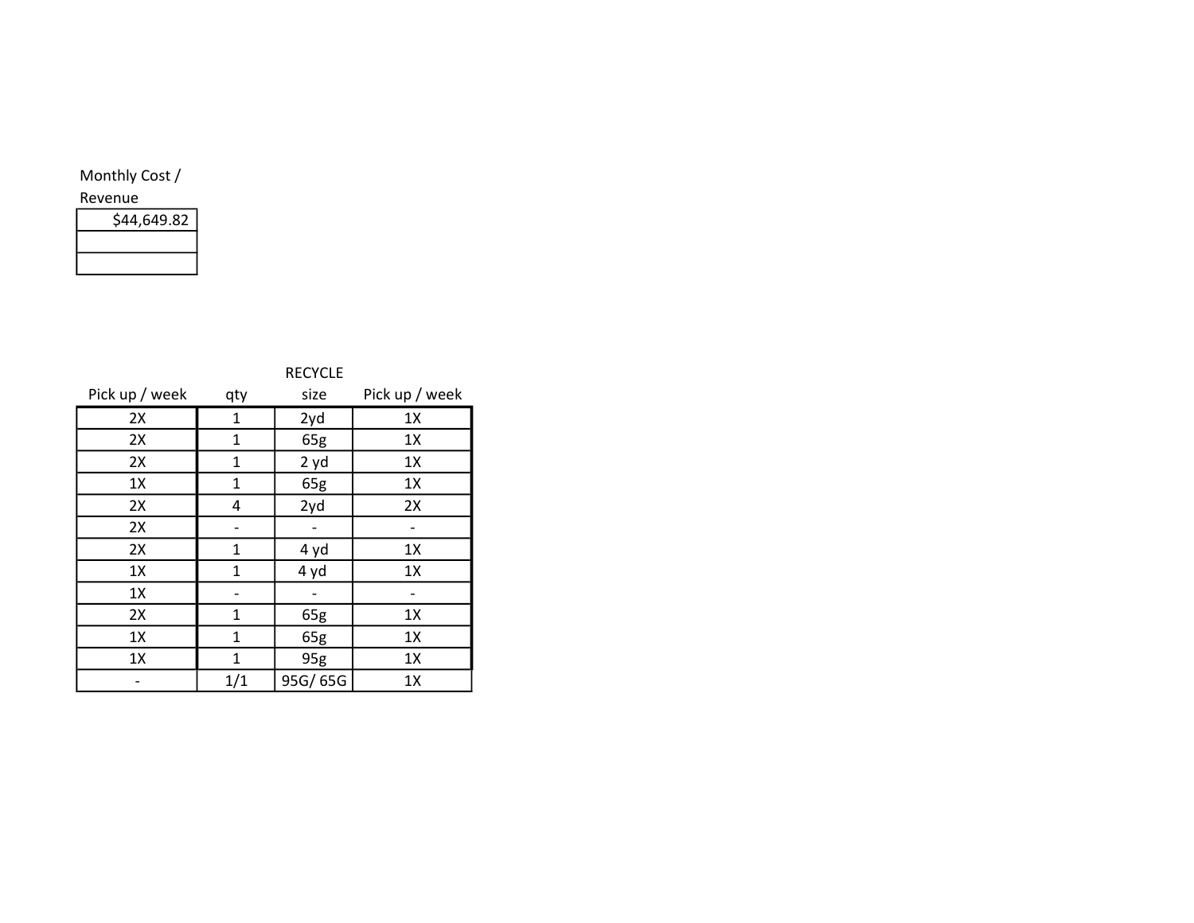|                | <b>RECYCLE</b> |         |                |
|----------------|----------------|---------|----------------|
| Pick up / week | qty            | size    | Pick up / week |
| 2X             | 1              | 2yd     | 1X             |
| 2X             | 1              | 65g     | 1X             |
| 2X             | 1              | 2 yd    | 1X             |
| 1X             | 1              | 65g     | 1X             |
| 2X             | 4              | 2yd     | 2X             |
| 2X             |                |         |                |
| 2X             | 1              | 4 yd    | 1X             |
| 1X             | $\mathbf{1}$   | 4 yd    | 1X             |
| 1X             |                |         |                |
| 2X             | $\mathbf{1}$   | 65g     | 1X             |
| 1X             | $\mathbf{1}$   | 65g     | 1X             |
| 1X             | $\mathbf{1}$   | 95g     | 1X             |
|                | 1/1            | 95G/65G | 1X             |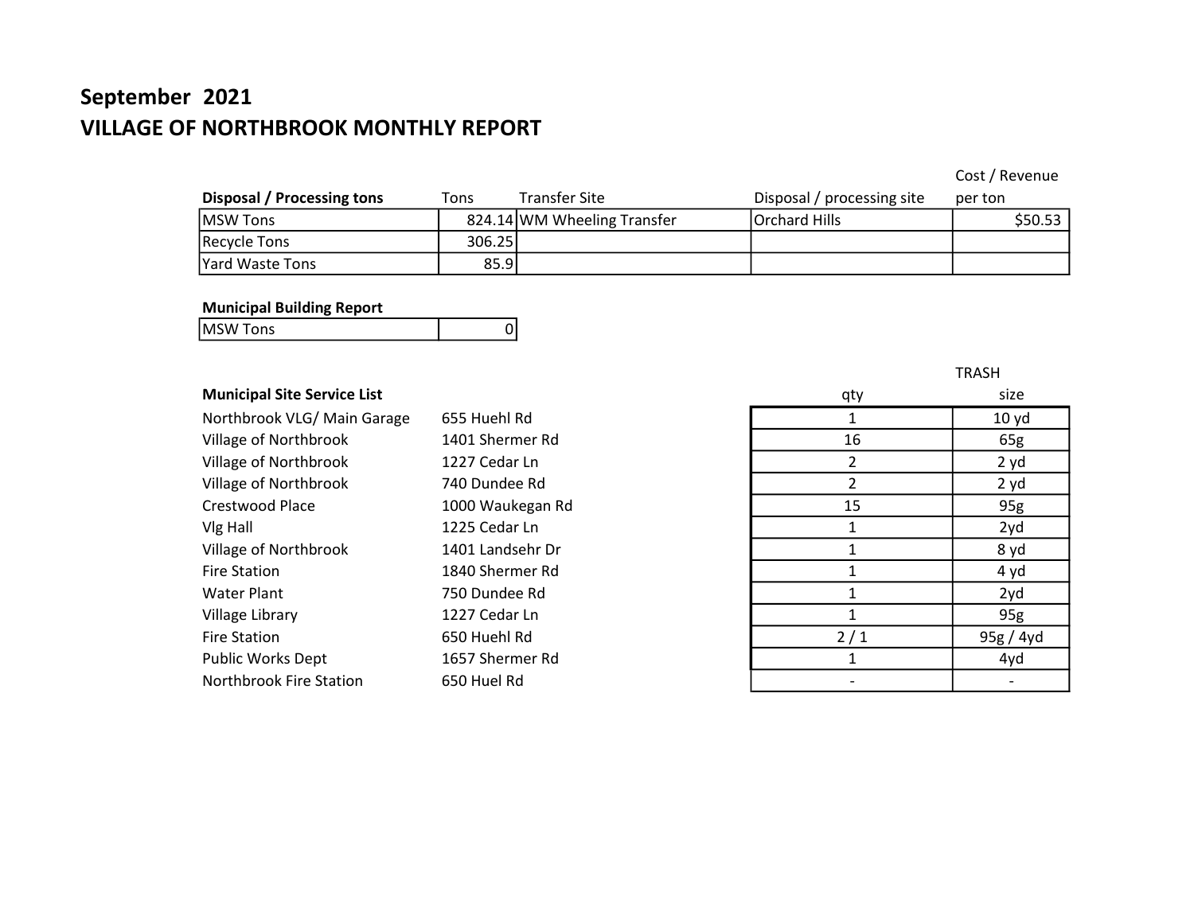# September 2021 VILLAGE OF NORTHBROOK MONTHLY REPORT

## Cost / Revenue

| Disposal / Processing tons | Tons   | Transfer Site               | Disposal / processing site | per ton |
|----------------------------|--------|-----------------------------|----------------------------|---------|
| MSW Tons                   |        | 824.14 WM Wheeling Transfer | Orchard Hills              | \$50.53 |
| Recycle Tons               | 306.25 |                             |                            |         |
| Yard Waste Tons            | 85.9   |                             |                            |         |

### Municipal Building Report

| <b>MSWT</b><br>onc<br>כווטו |  |
|-----------------------------|--|
|                             |  |

## **Municipal Site Service List**

| Northbrook VLG/ Main Garage | 655 Huehl Rd     |     | 10 yd     |
|-----------------------------|------------------|-----|-----------|
| Village of Northbrook       | 1401 Shermer Rd  | 16  | 65g       |
| Village of Northbrook       | 1227 Cedar Ln    |     | 2 yd      |
| Village of Northbrook       | 740 Dundee Rd    |     | 2 yd      |
| Crestwood Place             | 1000 Waukegan Rd | 15  | 95g       |
| Vlg Hall                    | 1225 Cedar Ln    |     | 2yd       |
| Village of Northbrook       | 1401 Landsehr Dr |     | 8 yd      |
| <b>Fire Station</b>         | 1840 Shermer Rd  |     | 4 yd      |
| <b>Water Plant</b>          | 750 Dundee Rd    |     | 2yd       |
| Village Library             | 1227 Cedar Ln    |     | 95g       |
| <b>Fire Station</b>         | 650 Huehl Rd     | 2/1 | 95g / 4yd |
| <b>Public Works Dept</b>    | 1657 Shermer Rd  |     | 4yd       |
| Northbrook Fire Station     | 650 Huel Rd      |     |           |

| qty            | size      |
|----------------|-----------|
| 1              | 10 yd     |
| 16             | 65g       |
| $\overline{2}$ | 2 yd      |
| $\overline{2}$ | 2 yd      |
| 15             | 95g       |
| $\mathbf{1}$   | 2yd       |
| $\mathbf{1}$   | 8 yd      |
| 1              | 4 yd      |
| $\mathbf{1}$   | 2yd       |
| $\mathbf{1}$   | 95g       |
| 2/1            | 95g / 4yd |
| 1              | 4yd       |
|                |           |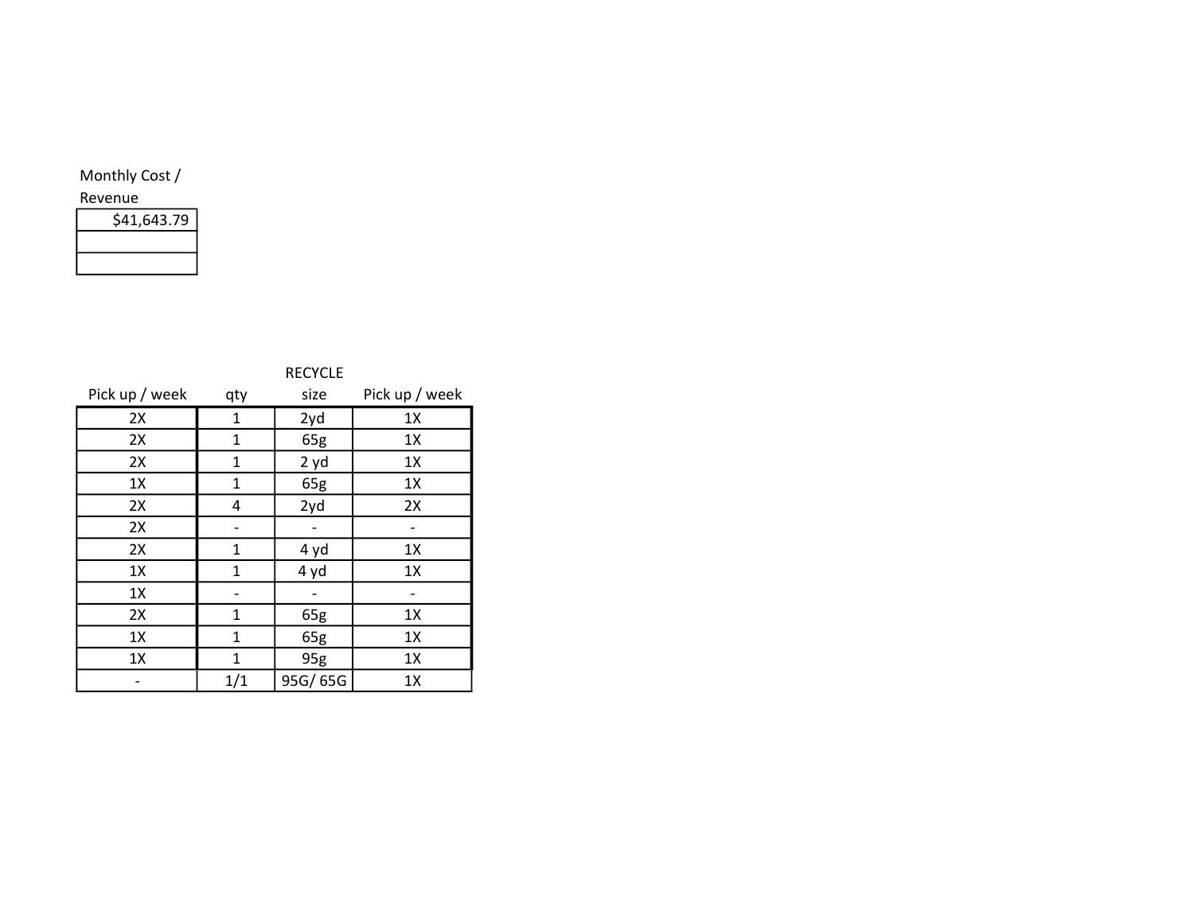| \$41,643.79 |  |
|-------------|--|
|             |  |
|             |  |

|                | <b>RECYCLE</b> |         |                |
|----------------|----------------|---------|----------------|
| Pick up / week | qty            | size    | Pick up / week |
| 2X             | 1              | 2yd     | 1X             |
| 2X             | 1              | 65g     | 1X             |
| 2X             | $\mathbf{1}$   | 2 yd    | 1X             |
| 1X             | 1              | 65g     | 1X             |
| 2X             | 4              | 2yd     | 2X             |
| 2X             |                |         |                |
| 2X             | 1              | 4 yd    | 1X             |
| 1X             | 1              | 4 yd    | 1X             |
| 1X             |                |         |                |
| 2X             | $\mathbf{1}$   | 65g     | 1X             |
| 1X             | $\mathbf{1}$   | 65g     | 1X             |
| 1X             | 1              | 95g     | 1X             |
|                | 1/1            | 95G/65G | 1X             |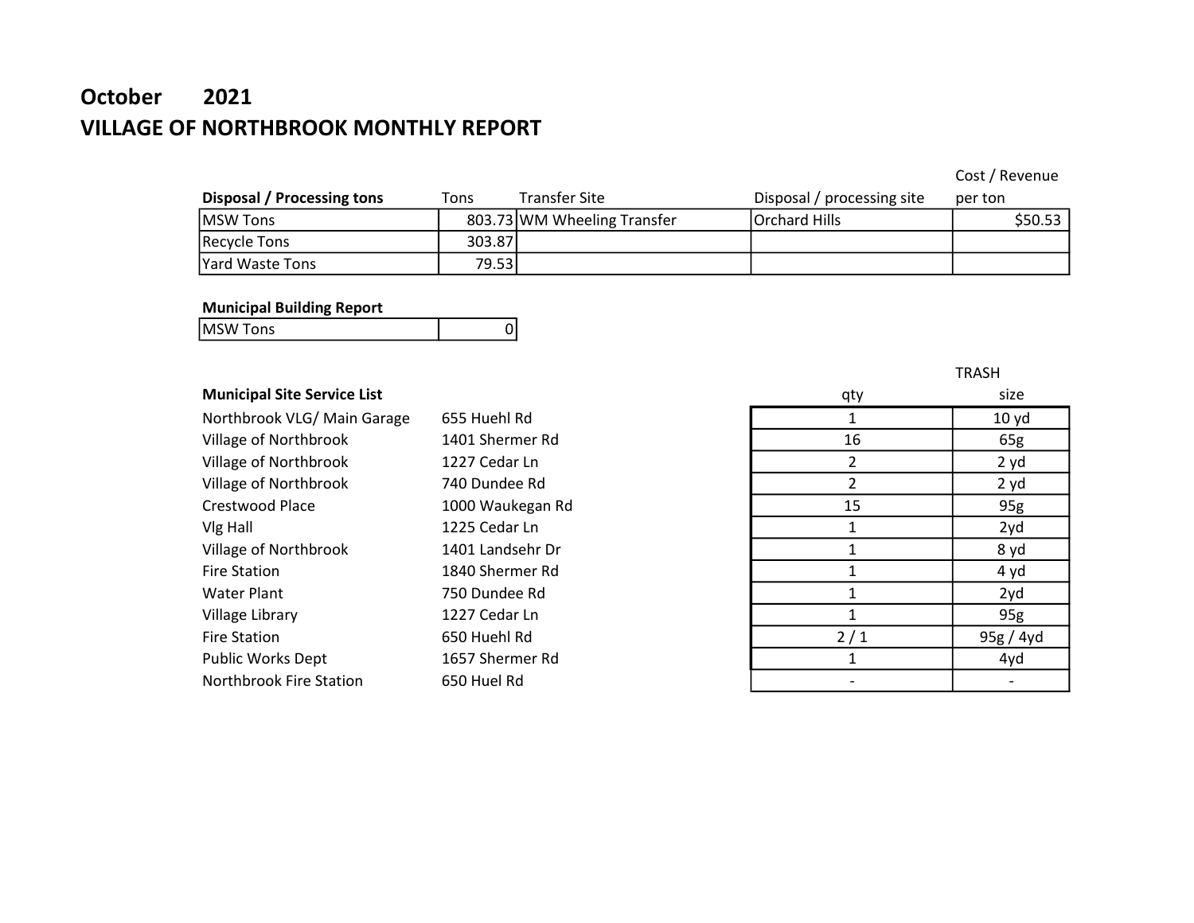# October 2021 VILLAGE OF NORTHBROOK MONTHLY REPORT

Cost / Revenue

| Disposal / Processing tons | Tons   | <b>Transfer Site</b>        | Disposal / processing site | per ton  |
|----------------------------|--------|-----------------------------|----------------------------|----------|
| <b>MSW Tons</b>            |        | 803.73 WM Wheeling Transfer | Orchard Hills              | S50.53 l |
| <b>Recycle Tons</b>        | 303.87 |                             |                            |          |
| <b>Yard Waste Tons</b>     | 79.53l |                             |                            |          |

### Municipal Building Report

| <b>MSW Tons</b> |  |
|-----------------|--|
|                 |  |

## **Municipal Site Service List**

| Northbrook VLG/ Main Garage | 655 Huehl Rd     |     | 10 yd     |
|-----------------------------|------------------|-----|-----------|
| Village of Northbrook       | 1401 Shermer Rd  | 16  | 65g       |
| Village of Northbrook       | 1227 Cedar Ln    |     | 2 yd      |
| Village of Northbrook       | 740 Dundee Rd    |     | 2 yd      |
| Crestwood Place             | 1000 Waukegan Rd | 15  | 95g       |
| Vlg Hall                    | 1225 Cedar Ln    |     | 2yd       |
| Village of Northbrook       | 1401 Landsehr Dr |     | 8 yd      |
| <b>Fire Station</b>         | 1840 Shermer Rd  |     | 4 yd      |
| <b>Water Plant</b>          | 750 Dundee Rd    |     | 2yd       |
| Village Library             | 1227 Cedar Ln    |     | 95g       |
| <b>Fire Station</b>         | 650 Huehl Rd     | 2/1 | 95g / 4yd |
| <b>Public Works Dept</b>    | 1657 Shermer Rd  |     | 4yd       |
| Northbrook Fire Station     | 650 Huel Rd      |     |           |

| qty            | size      |
|----------------|-----------|
| $\mathbf{1}$   | 10 yd     |
| 16             | 65g       |
| $\overline{2}$ | 2 yd      |
| $\overline{2}$ | 2 yd      |
| 15             | 95g       |
| $\mathbf{1}$   | 2yd       |
| $\mathbf 1$    | 8 yd      |
| $\overline{1}$ | 4 yd      |
| $\mathbf{1}$   | 2yd       |
| $\mathbf{1}$   | 95g       |
| 2/1            | 95g / 4yd |
| 1              | 4yd       |
|                |           |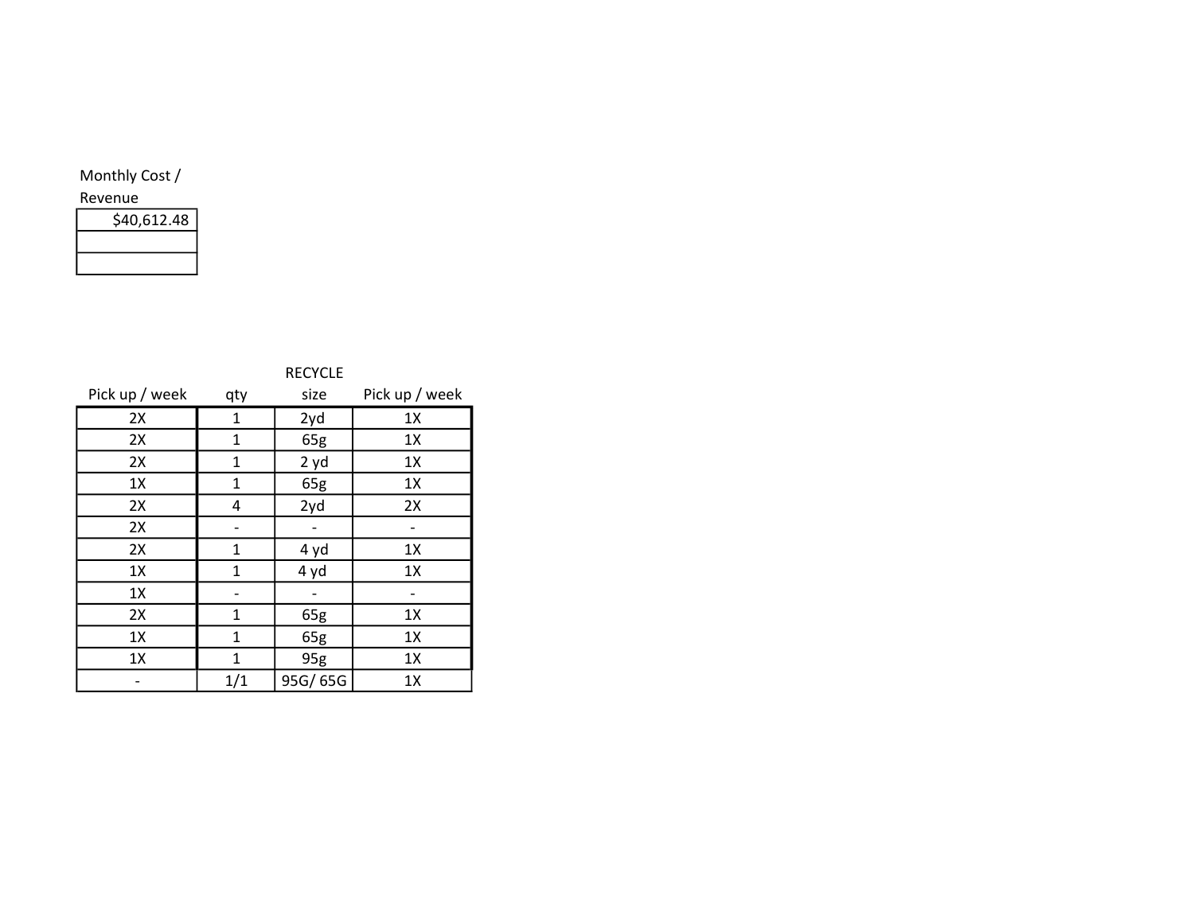| \$40,612.48 |  |
|-------------|--|
|             |  |
|             |  |

|                | <b>RECYCLE</b> |         |                |
|----------------|----------------|---------|----------------|
| Pick up / week | qty            | size    | Pick up / week |
| 2X             | $\mathbf{1}$   | 2yd     | 1X             |
| 2X             | $\mathbf{1}$   | 65g     | 1X             |
| 2X             | 1              | 2yd     | 1X             |
| 1X             | 1              | 65g     | 1X             |
| 2X             | 4              | 2yd     | 2X             |
| 2X             |                |         |                |
| 2X             | $\mathbf{1}$   | 4 yd    | 1X             |
| 1X             | 1              | 4 yd    | 1X             |
| 1X             |                |         |                |
| 2X             | $\mathbf{1}$   | 65g     | 1X             |
| 1X             | 1              | 65g     | 1X             |
| 1X             | $\mathbf{1}$   | 95g     | 1X             |
|                | 1/1            | 95G/65G | 1X             |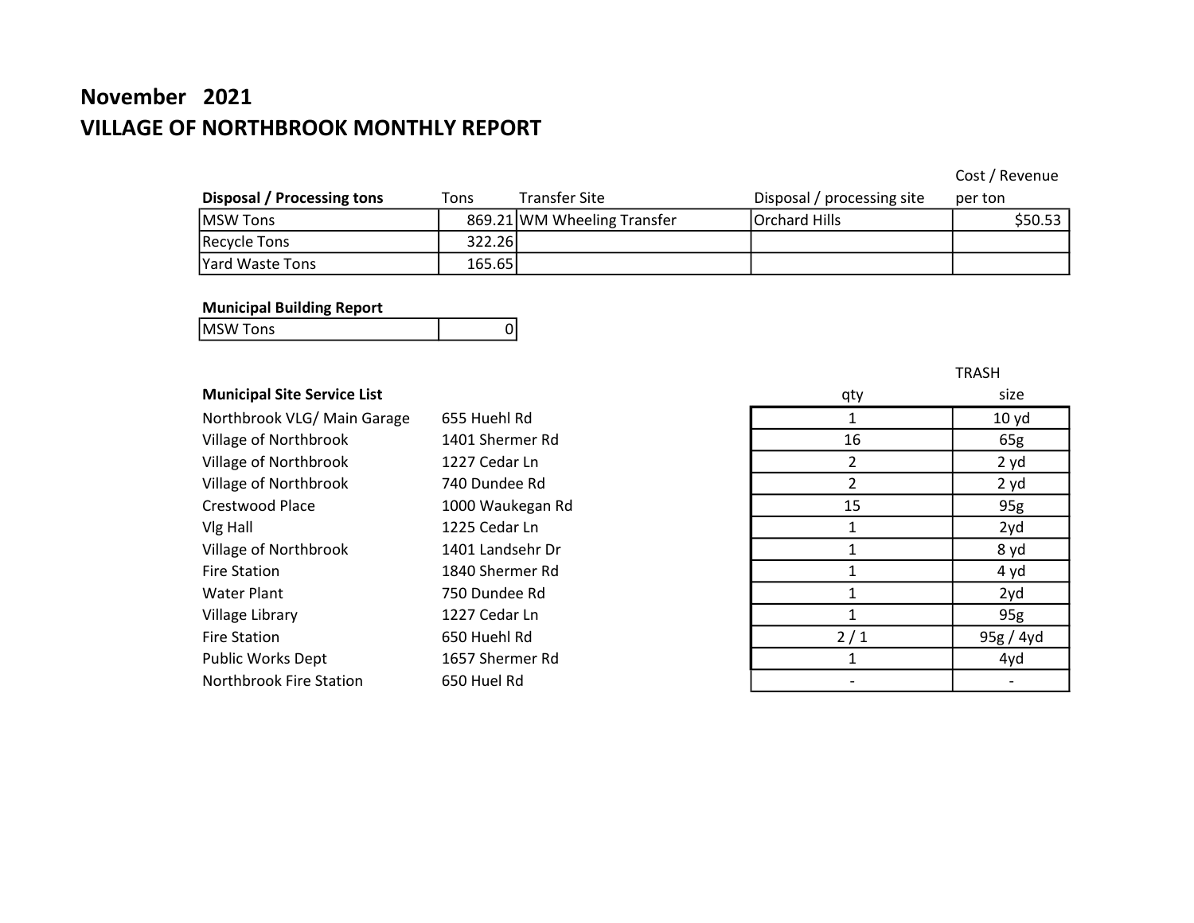# November 2021 VILLAGE OF NORTHBROOK MONTHLY REPORT

## Cost / Revenue

| Disposal / Processing tons | Tons   | <b>Transfer Site</b>        | Disposal / processing site | per ton |
|----------------------------|--------|-----------------------------|----------------------------|---------|
| IMSW Tons                  |        | 869.21 WM Wheeling Transfer | Orchard Hills              | \$50.53 |
| Recycle Tons               | 322.26 |                             |                            |         |
| Yard Waste Tons            | 165.65 |                             |                            |         |

#### Municipal Building Report

| <b>MSW Tons</b> |  |
|-----------------|--|
|                 |  |

## **Municipal Site Service List**

| Northbrook VLG/ Main Garage | 655 Huehl Rd     |     | 10 <sub>yd</sub> |
|-----------------------------|------------------|-----|------------------|
| Village of Northbrook       | 1401 Shermer Rd  | 16  | 65g              |
| Village of Northbrook       | 1227 Cedar Ln    | 2   | 2 yd             |
| Village of Northbrook       | 740 Dundee Rd    |     | 2 yd             |
| Crestwood Place             | 1000 Waukegan Rd | 15  | 95g              |
| Vlg Hall                    | 1225 Cedar Ln    |     | 2yd              |
| Village of Northbrook       | 1401 Landsehr Dr |     | 8 yd             |
| <b>Fire Station</b>         | 1840 Shermer Rd  |     | 4 yd             |
| Water Plant                 | 750 Dundee Rd    |     | 2yd              |
| Village Library             | 1227 Cedar Ln    |     | 95g              |
| <b>Fire Station</b>         | 650 Huehl Rd     | 2/1 | 95g / 4yd        |
| <b>Public Works Dept</b>    | 1657 Shermer Rd  |     | 4yd              |
| Northbrook Fire Station     | 650 Huel Rd      |     |                  |

| qty            | size                    |
|----------------|-------------------------|
| $\mathbf{1}$   | 10 <sub>yd</sub>        |
| 16             | 65g                     |
| $\overline{2}$ | 2 yd                    |
| $\overline{2}$ | 2 yd                    |
| 15             | 95g                     |
| 1              | 2yd                     |
| 1              | 8 yd                    |
| $\overline{1}$ | 4 yd                    |
| $\mathbf{1}$   | 2yd                     |
| 1              | 95g                     |
| 2/1            | $\frac{95g / 4yd}{4yd}$ |
| 1              |                         |
|                |                         |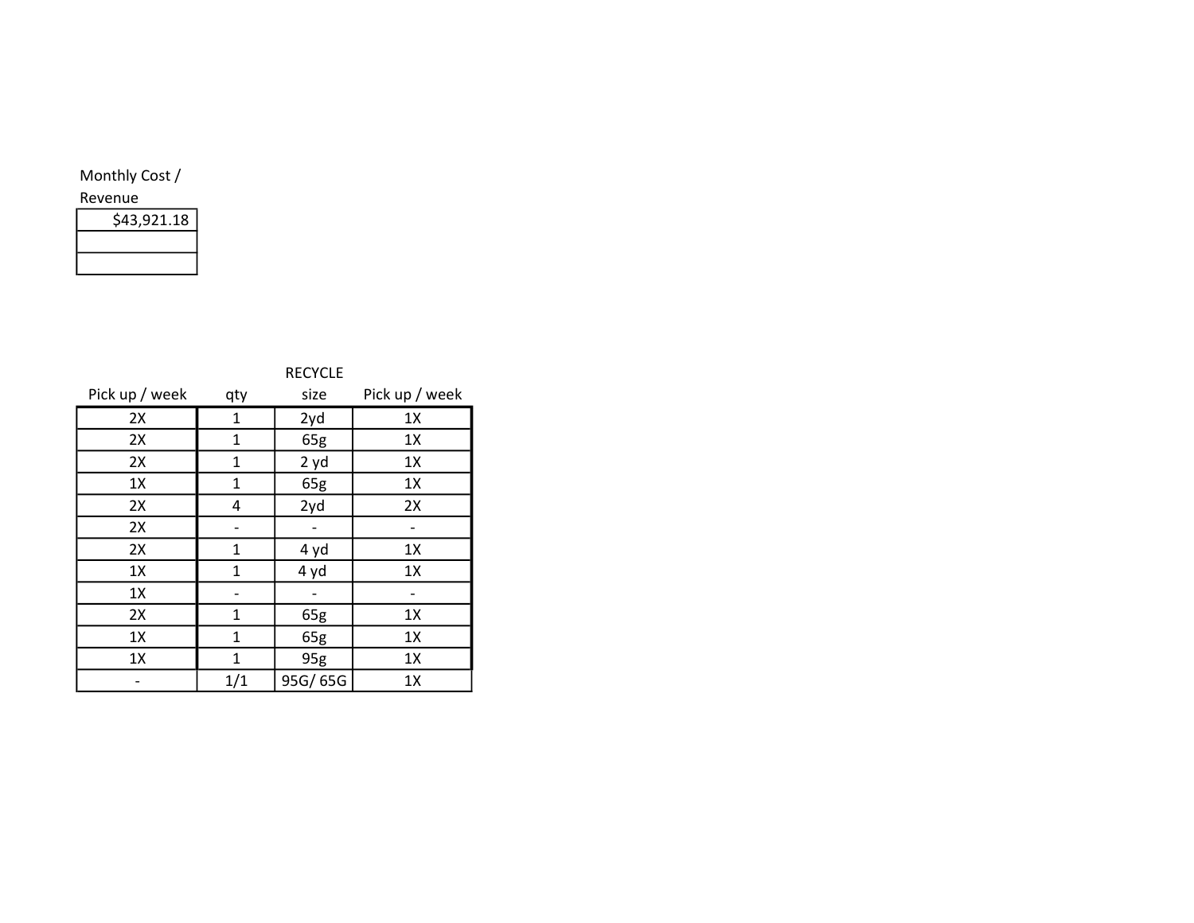| \$43,921.18 |  |
|-------------|--|
|             |  |
|             |  |

|                | <b>RECYCLE</b> |         |                |
|----------------|----------------|---------|----------------|
| Pick up / week | qty            | size    | Pick up / week |
| 2X             | 1              | 2yd     | 1X             |
| 2X             | 1              | 65g     | 1X             |
| 2X             | $\mathbf{1}$   | 2yd     | 1X             |
| 1X             | 1              | 65g     | 1X             |
| 2X             | 4              | 2yd     | 2X             |
| 2X             |                |         |                |
| 2X             | 1              | 4 yd    | 1X             |
| 1X             | $\mathbf{1}$   | 4 yd    | 1X             |
| 1X             |                |         |                |
| 2X             | $\mathbf{1}$   | 65g     | 1X             |
| 1X             | $\mathbf{1}$   | 65g     | 1X             |
| 1X             | $\mathbf{1}$   | 95g     | 1X             |
|                | 1/1            | 95G/65G | 1X             |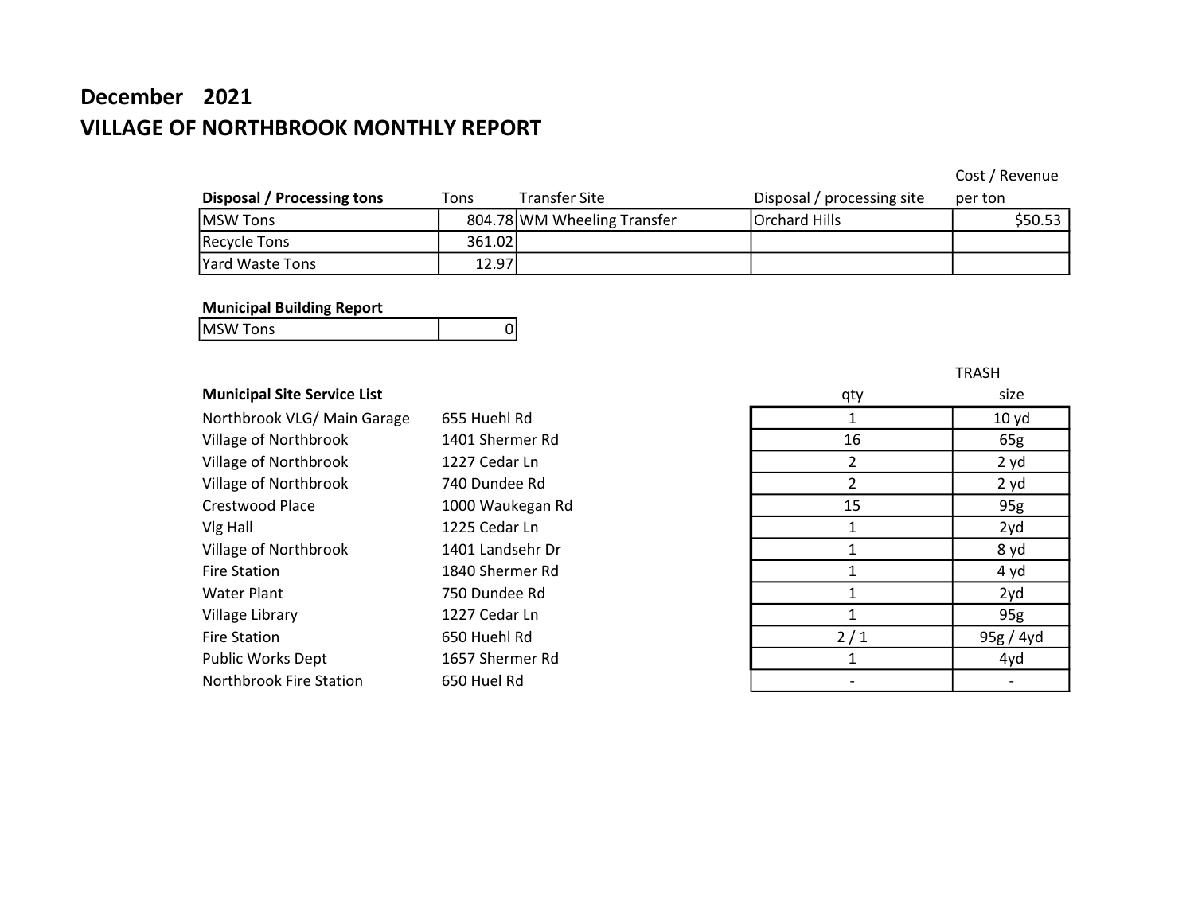# December 2021 VILLAGE OF NORTHBROOK MONTHLY REPORT

## Cost / Revenue

| Disposal / Processing tons | Tons   | Transfer Site               | Disposal / processing site | per ton |
|----------------------------|--------|-----------------------------|----------------------------|---------|
| MSW Tons                   |        | 804.78 WM Wheeling Transfer | Orchard Hills              | \$50.53 |
| Recycle Tons               | 361.02 |                             |                            |         |
| Yard Waste Tons            | 12.97  |                             |                            |         |

#### Municipal Building Report

| <b>MSWT</b><br>onc<br>כווטו |  |
|-----------------------------|--|
|                             |  |

## **Municipal Site Service List**

| Northbrook VLG/ Main Garage | 655 Huehl Rd     |     | 10 <sub>yd</sub> |
|-----------------------------|------------------|-----|------------------|
| Village of Northbrook       | 1401 Shermer Rd  | 16  | 65g              |
| Village of Northbrook       | 1227 Cedar Ln    | 2   | 2 yd             |
| Village of Northbrook       | 740 Dundee Rd    | 2   | 2 yd             |
| Crestwood Place             | 1000 Waukegan Rd | 15  | 95g              |
| Vlg Hall                    | 1225 Cedar Ln    |     | 2yd              |
| Village of Northbrook       | 1401 Landsehr Dr |     | 8 yd             |
| <b>Fire Station</b>         | 1840 Shermer Rd  |     | 4 yd             |
| <b>Water Plant</b>          | 750 Dundee Rd    |     | 2yd              |
| Village Library             | 1227 Cedar Ln    |     | 95g              |
| <b>Fire Station</b>         | 650 Huehl Rd     | 2/1 | 95g / 4yd        |
| Public Works Dept           | 1657 Shermer Rd  |     | 4yd              |
| Northbrook Fire Station     | 650 Huel Rd      |     |                  |

| qty            | size      |
|----------------|-----------|
| $\mathbf{1}$   | 10 yd     |
| 16             | 65g       |
| $\overline{2}$ | 2 yd      |
| $\overline{2}$ | 2 yd      |
| 15             | 95g       |
| 1              | 2yd       |
| 1              | 8 yd      |
| $\mathbf{1}$   | 4 yd      |
| $\mathbf{1}$   | 2yd       |
| $\mathbf{1}$   | 95g       |
| 2/1            | 95g / 4yd |
| $\mathbf{1}$   | 4yd       |
|                |           |